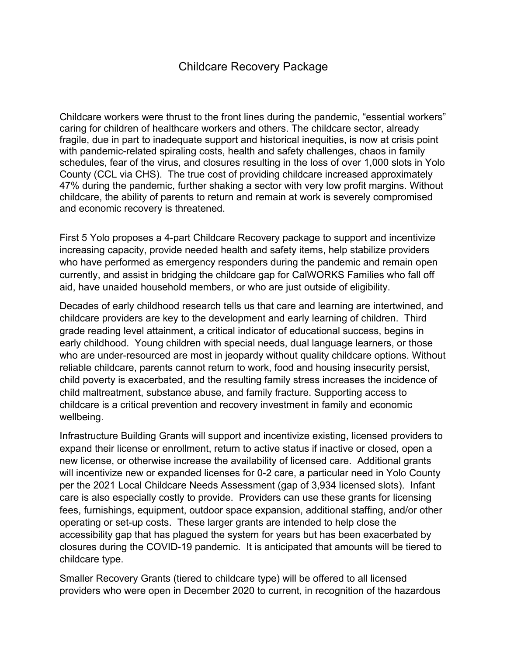## Childcare Recovery Package

Childcare workers were thrust to the front lines during the pandemic, "essential workers" caring for children of healthcare workers and others. The childcare sector, already fragile, due in part to inadequate support and historical inequities, is now at crisis point with pandemic-related spiraling costs, health and safety challenges, chaos in family schedules, fear of the virus, and closures resulting in the loss of over 1,000 slots in Yolo County (CCL via CHS). The true cost of providing childcare increased approximately 47% during the pandemic, further shaking a sector with very low profit margins. Without childcare, the ability of parents to return and remain at work is severely compromised and economic recovery is threatened.

First 5 Yolo proposes a 4-part Childcare Recovery package to support and incentivize increasing capacity, provide needed health and safety items, help stabilize providers who have performed as emergency responders during the pandemic and remain open currently, and assist in bridging the childcare gap for CalWORKS Families who fall off aid, have unaided household members, or who are just outside of eligibility.

Decades of early childhood research tells us that care and learning are intertwined, and childcare providers are key to the development and early learning of children. Third grade reading level attainment, a critical indicator of educational success, begins in early childhood. Young children with special needs, dual language learners, or those who are under-resourced are most in jeopardy without quality childcare options. Without reliable childcare, parents cannot return to work, food and housing insecurity persist, child poverty is exacerbated, and the resulting family stress increases the incidence of child maltreatment, substance abuse, and family fracture. Supporting access to childcare is a critical prevention and recovery investment in family and economic wellbeing.

Infrastructure Building Grants will support and incentivize existing, licensed providers to expand their license or enrollment, return to active status if inactive or closed, open a new license, or otherwise increase the availability of licensed care. Additional grants will incentivize new or expanded licenses for 0-2 care, a particular need in Yolo County per the 2021 Local Childcare Needs Assessment (gap of 3,934 licensed slots). Infant care is also especially costly to provide. Providers can use these grants for licensing fees, furnishings, equipment, outdoor space expansion, additional staffing, and/or other operating or set-up costs. These larger grants are intended to help close the accessibility gap that has plagued the system for years but has been exacerbated by closures during the COVID-19 pandemic. It is anticipated that amounts will be tiered to childcare type.

Smaller Recovery Grants (tiered to childcare type) will be offered to all licensed providers who were open in December 2020 to current, in recognition of the hazardous